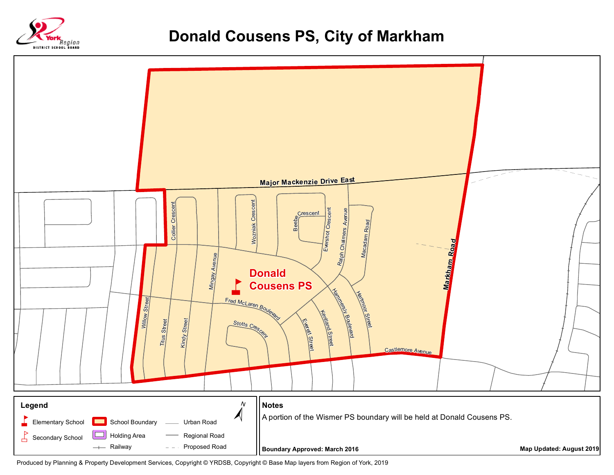



Produced by Planning & Property Development Services, Copyright © YRDSB, Copyright © Base Map layers from Region of York, 2019